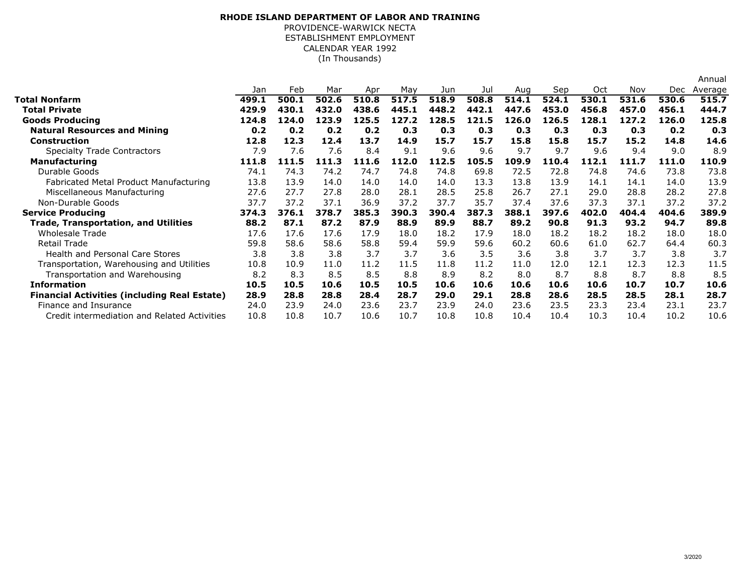## **RHODE ISLAND DEPARTMENT OF LABOR AND TRAINING**PROVIDENCE-WARWICK NECTA

ESTABLISHMENT EMPLOYMENT CALENDAR YEAR 1992

(In Thousands)

|                                                     |       |       |       |       |       |       |       |       |       |       |       |       | Annual  |
|-----------------------------------------------------|-------|-------|-------|-------|-------|-------|-------|-------|-------|-------|-------|-------|---------|
|                                                     | Jan   | Feb   | Mar   | Apr   | May   | Jun   | Jul   | Aug   | Sep   | Oct   | Nov   | Dec.  | Average |
| <b>Total Nonfarm</b>                                | 499.1 | 500.1 | 502.6 | 510.8 | 517.5 | 518.9 | 508.8 | 514.1 | 524.1 | 530.1 | 531.6 | 530.6 | 515.7   |
| <b>Total Private</b>                                | 429.9 | 430.1 | 432.0 | 438.6 | 445.1 | 448.2 | 442.1 | 447.6 | 453.0 | 456.8 | 457.0 | 456.1 | 444.7   |
| <b>Goods Producing</b>                              | 124.8 | 124.0 | 123.9 | 125.5 | 127.2 | 128.5 | 121.5 | 126.0 | 126.5 | 128.1 | 127.2 | 126.0 | 125.8   |
| <b>Natural Resources and Mining</b>                 | 0.2   | 0.2   | 0.2   | 0.2   | 0.3   | 0.3   | 0.3   | 0.3   | 0.3   | 0.3   | 0.3   | 0.2   | 0.3     |
| <b>Construction</b>                                 | 12.8  | 12.3  | 12.4  | 13.7  | 14.9  | 15.7  | 15.7  | 15.8  | 15.8  | 15.7  | 15.2  | 14.8  | 14.6    |
| <b>Specialty Trade Contractors</b>                  | 7.9   | 7.6   | 7.6   | 8.4   | 9.1   | 9.6   | 9.6   | 9.7   | 9.7   | 9.6   | 9.4   | 9.0   | 8.9     |
| <b>Manufacturing</b>                                | 111.8 | 111.5 | 111.3 | 111.6 | 112.0 | 112.5 | 105.5 | 109.9 | 110.4 | 112.1 | 111.7 | 111.0 | 110.9   |
| Durable Goods                                       | 74.1  | 74.3  | 74.2  | 74.7  | 74.8  | 74.8  | 69.8  | 72.5  | 72.8  | 74.8  | 74.6  | 73.8  | 73.8    |
| Fabricated Metal Product Manufacturing              | 13.8  | 13.9  | 14.0  | 14.0  | 14.0  | 14.0  | 13.3  | 13.8  | 13.9  | 14.1  | 14.1  | 14.0  | 13.9    |
| Miscellaneous Manufacturing                         | 27.6  | 27.7  | 27.8  | 28.0  | 28.1  | 28.5  | 25.8  | 26.7  | 27.1  | 29.0  | 28.8  | 28.2  | 27.8    |
| Non-Durable Goods                                   | 37.7  | 37.2  | 37.1  | 36.9  | 37.2  | 37.7  | 35.7  | 37.4  | 37.6  | 37.3  | 37.1  | 37.2  | 37.2    |
| <b>Service Producing</b>                            | 374.3 | 376.1 | 378.7 | 385.3 | 390.3 | 390.4 | 387.3 | 388.1 | 397.6 | 402.0 | 404.4 | 404.6 | 389.9   |
| <b>Trade, Transportation, and Utilities</b>         | 88.2  | 87.1  | 87.2  | 87.9  | 88.9  | 89.9  | 88.7  | 89.2  | 90.8  | 91.3  | 93.2  | 94.7  | 89.8    |
| <b>Wholesale Trade</b>                              | 17.6  | 17.6  | 17.6  | 17.9  | 18.0  | 18.2  | 17.9  | 18.0  | 18.2  | 18.2  | 18.2  | 18.0  | 18.0    |
| <b>Retail Trade</b>                                 | 59.8  | 58.6  | 58.6  | 58.8  | 59.4  | 59.9  | 59.6  | 60.2  | 60.6  | 61.0  | 62.7  | 64.4  | 60.3    |
| <b>Health and Personal Care Stores</b>              | 3.8   | 3.8   | 3.8   | 3.7   | 3.7   | 3.6   | 3.5   | 3.6   | 3.8   | 3.7   | 3.7   | 3.8   | 3.7     |
| Transportation, Warehousing and Utilities           | 10.8  | 10.9  | 11.0  | 11.2  | 11.5  | 11.8  | 11.2  | 11.0  | 12.0  | 12.1  | 12.3  | 12.3  | 11.5    |
| Transportation and Warehousing                      | 8.2   | 8.3   | 8.5   | 8.5   | 8.8   | 8.9   | 8.2   | 8.0   | 8.7   | 8.8   | 8.7   | 8.8   | 8.5     |
| <b>Information</b>                                  | 10.5  | 10.5  | 10.6  | 10.5  | 10.5  | 10.6  | 10.6  | 10.6  | 10.6  | 10.6  | 10.7  | 10.7  | 10.6    |
| <b>Financial Activities (including Real Estate)</b> | 28.9  | 28.8  | 28.8  | 28.4  | 28.7  | 29.0  | 29.1  | 28.8  | 28.6  | 28.5  | 28.5  | 28.1  | 28.7    |
| Finance and Insurance                               | 24.0  | 23.9  | 24.0  | 23.6  | 23.7  | 23.9  | 24.0  | 23.6  | 23.5  | 23.3  | 23.4  | 23.1  | 23.7    |
| Credit intermediation and Related Activities        | 10.8  | 10.8  | 10.7  | 10.6  | 10.7  | 10.8  | 10.8  | 10.4  | 10.4  | 10.3  | 10.4  | 10.2  | 10.6    |